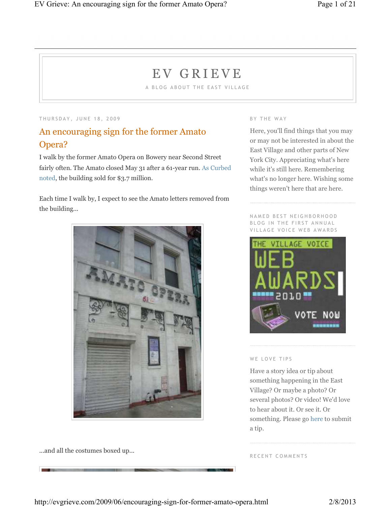# E V G R I E V E

A BLOG ABOUT THE EAST VILLAGE

THURSDAY, JUNE 18, 2009

## An encouraging sign for the former Amato Opera?

I walk by the former Amato Opera on Bowery near Second Street fairly often. The Amato closed May 31 after a 61-year run. As Curbed noted, the building sold for \$3.7 million.

Each time I walk by, I expect to see the Amato letters removed from the building...



...and all the costumes boxed up...

#### B Y T H E W A Y

Here, you'll find things that you may or may not be interested in about the East Village and other parts of New York City. Appreciating what's here while it's still here. Remembering what's no longer here. Wishing some things weren't here that are here.

N A M E D B E S T N E I G H B O R H O O D BLOG IN THE FIRST ANNUAL VILLAGE VOICE WEB AWARDS



#### WE LOVE TIPS

Have a story idea or tip about something happening in the East Village? Or maybe a photo? Or several photos? Or video! We'd love to hear about it. Or see it. Or something. Please go here to submit a tip.

RECENT COMMENTS

http://evgrieve.com/2009/06/encouraging-sign-for-former-amato-opera.html 2/8/2013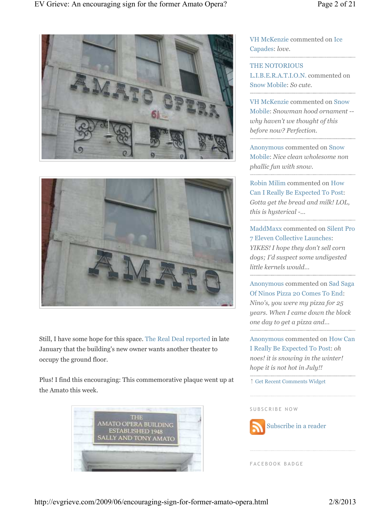



Still, I have some hope for this space. The Real Deal reported in late January that the building's new owner wants another theater to occupy the ground floor.

Plus! I find this encouraging: This commemorative plaque went up at the Amato this week.



VH McKenzie commented on Ice Capades: *love.*

THE NOTORIOUS L.I.B.E.R.A.T.I.O.N. commented on Snow Mobile: *So cute.*

VH McKenzie commented on Snow Mobile: *Snowman hood ornament - why haven't we thought of this before now? Perfection.*

Anonymous commented on Snow Mobile: *Nice clean wholesome non phallic fun with snow.* 

Robin Milim commented on How Can I Really Be Expected To Post: *Gotta get the bread and milk! LOL, this is hysterical -…*

MaddMaxx commented on Silent Pro 7 Eleven Collective Launches: *YIKES! I hope they don't sell corn dogs; I'd suspect some undigested little kernels would…*

Anonymous commented on Sad Saga Of Ninos Pizza 20 Comes To End: *Nino's, you were my pizza for 25 years. When I came down the block one day to get a pizza and…*

Anonymous commented on How Can I Really Be Expected To Post: *oh noes! it is snowing in the winter! hope it is not hot in July!!*

↑ Get Recent Comments Widget

#### SUBSCRIBE NOW



F A C E B O O K B A D G E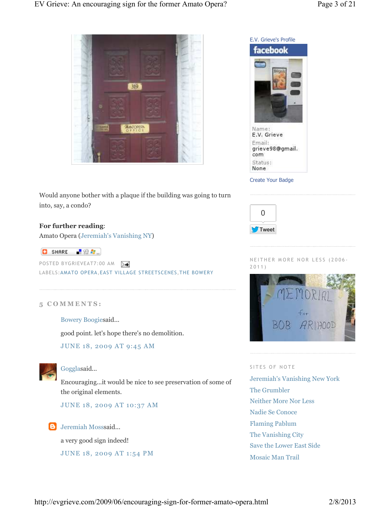



Create Your Badge



NEITHER MORE NOR LESS (2006-2 0 1 1 )



#### SITES OF NOTE

Jeremiah's Vanishing New York The Grumbler Neither More Nor Less Nadie Se Conoce Flaming Pablum The Vanishing City Save the Lower East Side Mosaic Man Trail

Would anyone bother with a plaque if the building was going to turn into, say, a condo?

#### **For further reading**:

Amato Opera (Jeremiah's Vanishing NY)

 $\begin{bmatrix} 1 & 0 \\ 0 & 0 \end{bmatrix}$  SHARE  $\begin{bmatrix} 1 & 0 \\ 0 & 0 \end{bmatrix}$ 

POSTED BYGRIEVEAT7:00 AM LABELS:AMATO OPERA,EAST VILLAGE STREETSCENES,THE BOWERY

#### **5 C O M M E N T S :**

Bowery Boogiesaid...

good point. let's hope there's no demolition.

JUNE 18, 2009 AT 9:45 AM



#### Gogglasaid...

Encouraging...it would be nice to see preservation of some of the original elements.

JUNE 18, 2009 AT 10:37 AM

#### **B** Jeremiah Mosssaid...

a very good sign indeed!

JUNE 18, 2009 AT 1:54 PM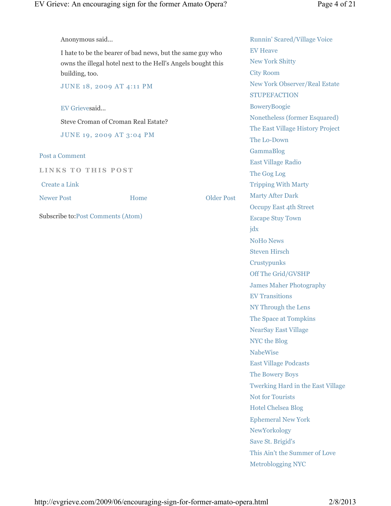| Anonymous said                                               |      |                   | <b>Runnin' Scared/Village Voice</b>   |
|--------------------------------------------------------------|------|-------------------|---------------------------------------|
| I hate to be the bearer of bad news, but the same guy who    |      |                   | <b>EV Heave</b>                       |
| owns the illegal hotel next to the Hell's Angels bought this |      |                   | <b>New York Shitty</b>                |
| building, too.                                               |      |                   | <b>City Room</b>                      |
| JUNE 18, 2009 AT 4:11 PM<br>EV Grievesaid                    |      |                   | New York Observer/Real Estate         |
|                                                              |      |                   | <b>STUPEFACTION</b>                   |
|                                                              |      |                   | <b>BoweryBoogie</b>                   |
| Steve Croman of Croman Real Estate?                          |      |                   | Nonetheless (former Esquared)         |
| JUNE 19, 2009 AT 3:04 PM<br>Post a Comment                   |      |                   | The East Village History Project      |
|                                                              |      |                   | The Lo-Down                           |
|                                                              |      |                   | GammaBlog                             |
| <b>LINKS TO THIS POST</b>                                    |      |                   | <b>East Village Radio</b>             |
|                                                              |      |                   | The Gog Log                           |
| <b>Create a Link</b>                                         |      |                   | <b>Tripping With Marty</b>            |
| <b>Newer Post</b>                                            | Home | <b>Older Post</b> | <b>Marty After Dark</b>               |
|                                                              |      |                   | <b>Occupy East 4th Street</b>         |
| Subscribe to: Post Comments (Atom)                           |      |                   | <b>Escape Stuy Town</b>               |
|                                                              |      |                   | $\mathbf{j} \, \mathrm{d} \mathbf{x}$ |
|                                                              |      |                   | <b>NoHo News</b>                      |
|                                                              |      |                   | <b>Steven Hirsch</b>                  |
|                                                              |      |                   | Crustypunks                           |
|                                                              |      |                   | Off The Grid/GVSHP                    |
|                                                              |      |                   | <b>James Maher Photography</b>        |
|                                                              |      |                   | <b>EV Transitions</b>                 |
|                                                              |      |                   | NY Through the Lens                   |
|                                                              |      |                   | The Space at Tompkins                 |
|                                                              |      |                   | <b>NearSay East Village</b>           |
|                                                              |      |                   | NYC the Blog                          |
|                                                              |      |                   | <b>NabeWise</b>                       |
|                                                              |      |                   | <b>East Village Podcasts</b>          |
|                                                              |      |                   | The Bowery Boys                       |
|                                                              |      |                   | Twerking Hard in the East Village     |
|                                                              |      |                   | <b>Not for Tourists</b>               |
|                                                              |      |                   | <b>Hotel Chelsea Blog</b>             |
|                                                              |      |                   | <b>Ephemeral New York</b>             |
|                                                              |      |                   | NewYorkology                          |
|                                                              |      |                   | Save St. Brigid's                     |
|                                                              |      |                   | This Ain't the Summer of Love         |
|                                                              |      |                   | <b>Metroblogging NYC</b>              |
|                                                              |      |                   |                                       |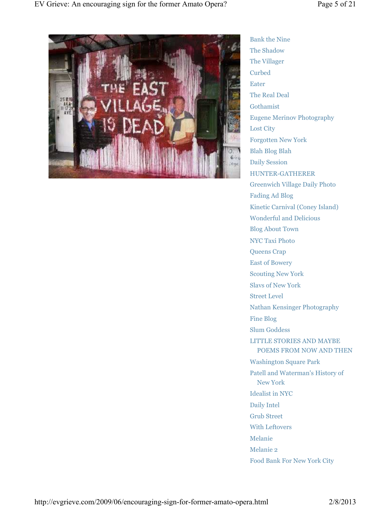

Bank the Nine The Shadow The Villager Curbed Eater The Real Deal Gothamist Eugene Merinov Photography Lost City Forgotten New York Blah Blog Blah Daily Session HUNTER-GATHERER Greenwich Village Daily Photo Fading Ad Blog Kinetic Carnival (Coney Island) Wonderful and Delicious Blog About Town NYC Taxi Photo Queens Crap East of Bowery Scouting New York Slavs of New York Street Level Nathan Kensinger Photography Fine Blog Slum Goddess LITTLE STORIES AND MAYBE POEMS FROM NOW AND THEN Washington Square Park Patell and Waterman's History of New York Idealist in NYC Daily Intel Grub Street With Leftovers Melanie Melanie 2 Food Bank For New York City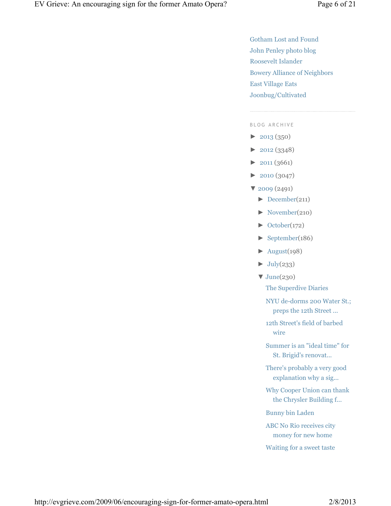Gotham Lost and Found John Penley photo blog Roosevelt Islander Bowery Alliance of Neighbors East Village Eats Joonbug/Cultivated

#### BLOG ARCHIVE

- $\blacktriangleright$  2013 (350)
- ► 2012 (3348)
- $\blacktriangleright$  2011 (3661)
- ► 2010 (3047)
- ▼ 2009 (2491)
	- ► December(211)
	- ► November(210)
	- $\blacktriangleright$  October(172)
	- ► September(186)
	- $\blacktriangleright$  August(198)
	- $\blacktriangleright$  July(233)
	- ▼ June(230)

The Superdive Diaries

NYU de-dorms 200 Water St.; preps the 12th Street ...

12th Street's field of barbed wire

Summer is an "ideal time" for St. Brigid's renovat...

There's probably a very good explanation why a sig...

Why Cooper Union can thank the Chrysler Building f...

Bunny bin Laden

ABC No Rio receives city money for new home

Waiting for a sweet taste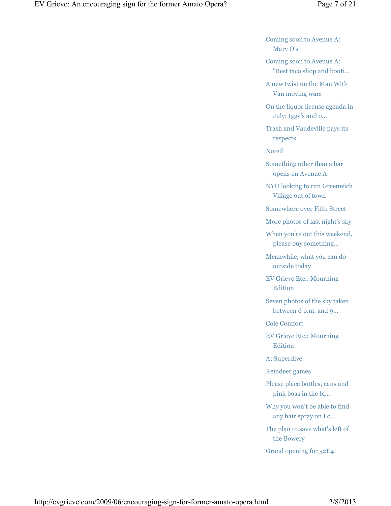Coming soon to Avenue A: Mary O's

Coming soon to Avenue A: "Best taco shop and bouti...

A new twist on the Man With Van moving wars

On the liquor license agenda in July: Iggy's and o...

Trash and Vaudeville pays its respects

Noted

Something other than a bar opens on Avenue A

NYU looking to run Greenwich Village out of town

Somewhere over Fifth Street

More photos of last night's sky

When you're out this weekend, please buy something...

Meanwhile, what you can do outside today

EV Grieve Etc.: Mourning Edition

Seven photos of the sky taken between 6 p.m. and 9...

Cole Comfort

EV Grieve Etc.: Mourning Edition

At Superdive

Reindeer games

Please place bottles, cans and pink boas in the bl...

Why you won't be able to find any hair spray on Lo...

The plan to save what's left of the Bowery

Grand opening for 52E4!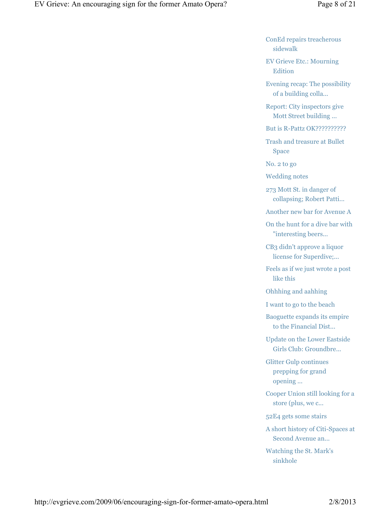ConEd repairs treacherous sidewalk

EV Grieve Etc.: Mourning Edition

Evening recap: The possibility of a building colla...

Report: City inspectors give Mott Street building ...

But is R-Pattz OK??????????

Trash and treasure at Bullet Space

No. 2 to go

Wedding notes

273 Mott St. in danger of collapsing; Robert Patti...

Another new bar for Avenue A

On the hunt for a dive bar with "interesting beers...

CB3 didn't approve a liquor license for Superdive;...

Feels as if we just wrote a post like this

Ohhhing and aahhing

I want to go to the beach

Baoguette expands its empire to the Financial Dist...

Update on the Lower Eastside Girls Club: Groundbre...

Glitter Gulp continues prepping for grand opening ...

Cooper Union still looking for a store (plus, we c...

52E4 gets some stairs

A short history of Citi-Spaces at Second Avenue an...

Watching the St. Mark's sinkhole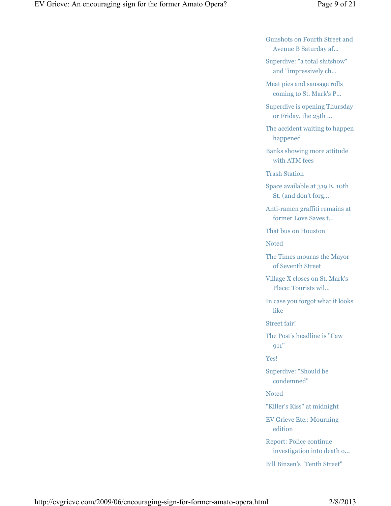Gunshots on Fourth Street and Avenue B Saturday af...

Superdive: "a total shitshow" and "impressively ch...

Meat pies and sausage rolls coming to St. Mark's P...

Superdive is opening Thursday or Friday, the 25th ...

The accident waiting to happen happened

Banks showing more attitude with ATM fees

Trash Station

Space available at 319 E. 10th St. (and don't forg...

Anti-ramen graffiti remains at former Love Saves t...

That bus on Houston

Noted

The Times mourns the Mayor of Seventh Street

Village X closes on St. Mark's Place: Tourists wil...

In case you forgot what it looks like

Street fair!

The Post's headline is "Caw 911"

Yes!

Superdive: "Should be condemned"

Noted

"Killer's Kiss" at midnight

EV Grieve Etc.: Mourning edition

Report: Police continue investigation into death o...

Bill Binzen's "Tenth Street"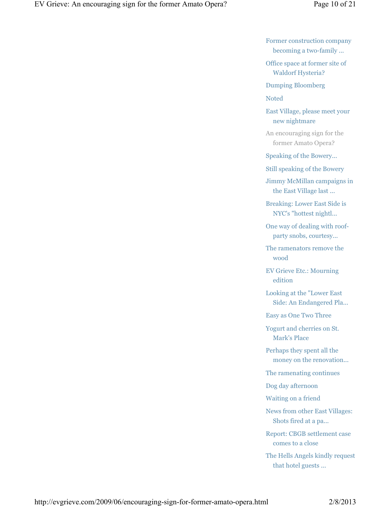Former construction company becoming a two-family ...

Office space at former site of Waldorf Hysteria?

Dumping Bloomberg

Noted

East Village, please meet your new nightmare

An encouraging sign for the former Amato Opera?

Speaking of the Bowery...

Still speaking of the Bowery

Jimmy McMillan campaigns in the East Village last ...

Breaking: Lower East Side is NYC's "hottest nightl...

One way of dealing with roofparty snobs, courtesy...

The ramenators remove the wood

EV Grieve Etc.: Mourning edition

Looking at the "Lower East Side: An Endangered Pla...

Easy as One Two Three

Yogurt and cherries on St. Mark's Place

Perhaps they spent all the money on the renovation...

The ramenating continues

Dog day afternoon

Waiting on a friend

News from other East Villages: Shots fired at a pa...

Report: CBGB settlement case comes to a close

The Hells Angels kindly request that hotel guests ...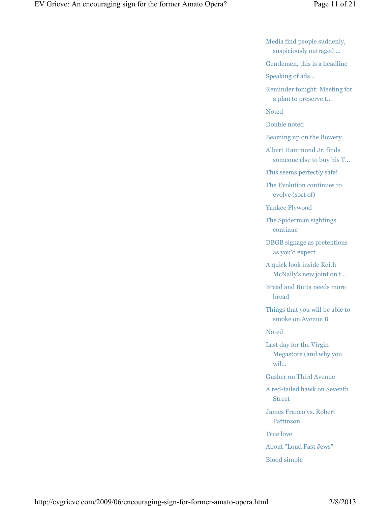Media find people suddenly, suspiciously outraged ...

Gentlemen, this is a headline

Speaking of ads...

Reminder tonight: Meeting for a plan to preserve t...

Noted

Double noted

Beaming up on the Bowery

Albert Hammond Jr. finds someone else to buy his T...

This seems perfectly safe!

The Evolution continues to evolve (sort of)

Yankee Plywood

The Spiderman sightings continue

DBGB signage as pretentious as you'd expect

A quick look inside Keith McNally's new joint on t...

Bread and Butta needs more bread

Things that you will be able to smoke on Avenue B

Noted

Last day for the Virgin Megastore (and why you wil...

Gusher on Third Avenue

A red-tailed hawk on Seventh Street

James Franco vs. Robert Pattinson

True love

About "Loud Fast Jews"

Blood simple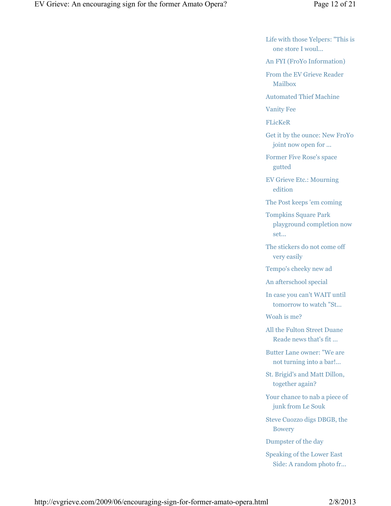Life with those Yelpers: "This is one store I woul...

An FYI (FroYo Information)

From the EV Grieve Reader Mailbox

Automated Thief Machine

Vanity Fee

FLicKeR

Get it by the ounce: New FroYo joint now open for ...

Former Five Rose's space gutted

EV Grieve Etc.: Mourning edition

The Post keeps 'em coming

Tompkins Square Park playground completion now set...

The stickers do not come off very easily

Tempo's cheeky new ad

An afterschool special

In case you can't WAIT until tomorrow to watch "St...

Woah is me?

All the Fulton Street Duane Reade news that's fit ...

Butter Lane owner: "We are not turning into a bar!...

St. Brigid's and Matt Dillon, together again?

Your chance to nab a piece of junk from Le Souk

Steve Cuozzo digs DBGB, the Bowery

Dumpster of the day

Speaking of the Lower East Side: A random photo fr...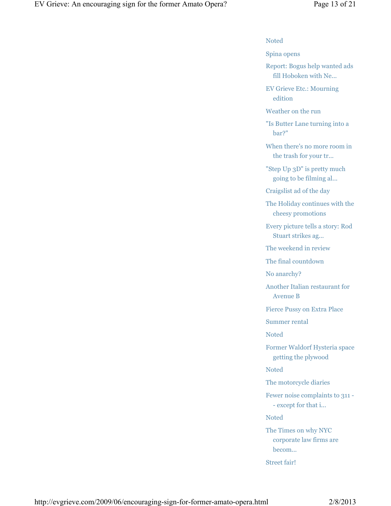#### Noted

Spina opens

Report: Bogus help wanted ads fill Hoboken with Ne...

EV Grieve Etc.: Mourning edition

Weather on the run

"Is Butter Lane turning into a bar?"

When there's no more room in the trash for your tr...

"Step Up 3D" is pretty much going to be filming al...

Craigslist ad of the day

The Holiday continues with the cheesy promotions

Every picture tells a story: Rod Stuart strikes ag...

The weekend in review

The final countdown

No anarchy?

Another Italian restaurant for Avenue B

Fierce Pussy on Extra Place

Summer rental

Noted

Former Waldorf Hysteria space getting the plywood

Noted

The motorcycle diaries

Fewer noise complaints to 311 - - except for that i...

Noted

The Times on why NYC corporate law firms are becom...

Street fair!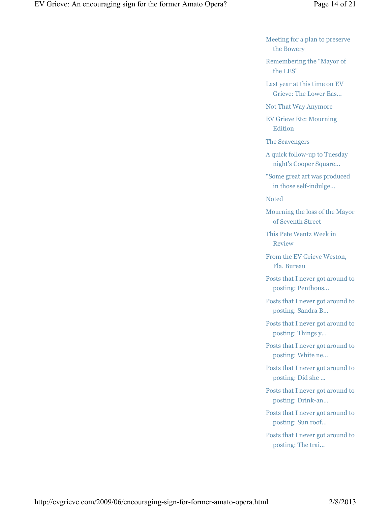Meeting for a plan to preserve the Bowery

Remembering the "Mayor of the LES"

Last year at this time on EV Grieve: The Lower Eas...

Not That Way Anymore

EV Grieve Etc: Mourning **Edition** 

The Scavengers

A quick follow-up to Tuesday night's Cooper Square...

"Some great art was produced in those self-indulge...

Noted

Mourning the loss of the Mayor of Seventh Street

This Pete Wentz Week in Review

From the EV Grieve Weston, Fla. Bureau

Posts that I never got around to posting: Penthous...

Posts that I never got around to posting: Sandra B...

Posts that I never got around to posting: Things y...

Posts that I never got around to posting: White ne...

Posts that I never got around to posting: Did she ...

Posts that I never got around to posting: Drink-an...

Posts that I never got around to posting: Sun roof...

Posts that I never got around to posting: The trai...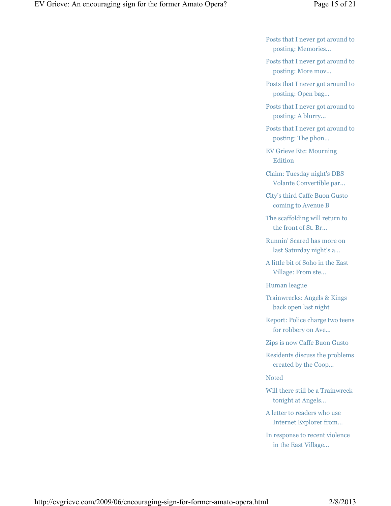- Posts that I never got around to posting: Memories...
- Posts that I never got around to posting: More mov...
- Posts that I never got around to posting: Open bag...
- Posts that I never got around to posting: A blurry...
- Posts that I never got around to posting: The phon...
- EV Grieve Etc: Mourning Edition
- Claim: Tuesday night's DBS Volante Convertible par...
- City's third Caffe Buon Gusto coming to Avenue B
- The scaffolding will return to the front of St. Br...
- Runnin' Scared has more on last Saturday night's a...
- A little bit of Soho in the East Village: From ste...

Human league

- Trainwrecks: Angels & Kings back open last night
- Report: Police charge two teens for robbery on Ave...
- Zips is now Caffe Buon Gusto
- Residents discuss the problems created by the Coop...

#### Noted

- Will there still be a Trainwreck tonight at Angels...
- A letter to readers who use Internet Explorer from...
- In response to recent violence in the East Village...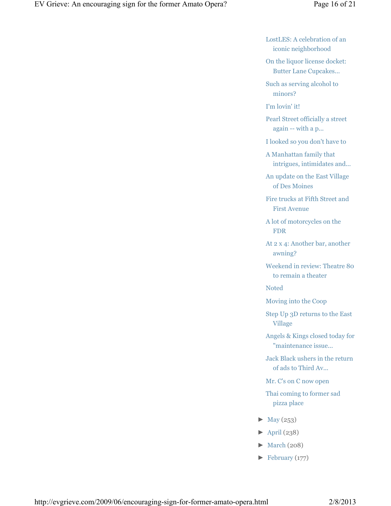LostLES: A celebration of an iconic neighborhood

On the liquor license docket: Butter Lane Cupcakes...

Such as serving alcohol to minors?

I'm lovin' it!

Pearl Street officially a street again -- with a p...

I looked so you don't have to

A Manhattan family that intrigues, intimidates and...

An update on the East Village of Des Moines

Fire trucks at Fifth Street and First Avenue

A lot of motorcycles on the FDR

At 2 x 4: Another bar, another awning?

Weekend in review: Theatre 80 to remain a theater

Noted

Moving into the Coop

Step Up 3D returns to the East Village

Angels & Kings closed today for "maintenance issue...

Jack Black ushers in the return of ads to Third Av...

Mr. C's on C now open

Thai coming to former sad pizza place

- $\blacktriangleright$  May (253)
- $\blacktriangleright$  April (238)
- $\blacktriangleright$  March (208)
- $\blacktriangleright$  February (177)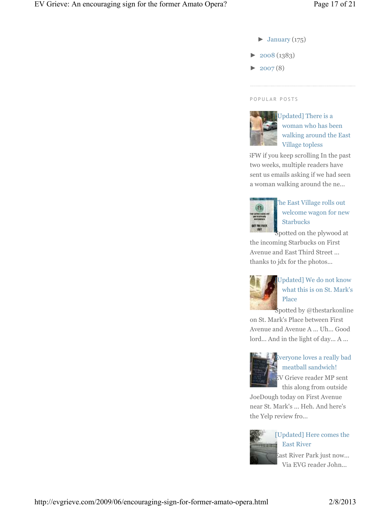- $\blacktriangleright$  January (175)
- ► 2008 (1383)
- $\blacktriangleright$  2007(8)

#### P O P U L A R P O S T S



Updated] There is a woman who has been walking around the East Village topless

NSFW if you keep scrolling In the past two weeks, multiple readers have sent us emails asking if we had seen a woman walking around the ne...



## The East Village rolls out welcome wagon for new **Starbucks**

Spotted on the plywood at the incoming Starbucks on First Avenue and East Third Street ... thanks to jdx for the photos...



## [Updated] We do not know what this is on St. Mark's Place

Spotted by @thestarkonline

on St. Mark's Place between First Avenue and Avenue A ... Uh... Good lord... And in the light of day... A ...



## Everyone loves a really bad meatball sandwich! EV Grieve reader MP sent

this along from outside JoeDough today on First Avenue near St. Mark's ... Heh. And here's the Yelp review fro...



### [Updated] Here comes the East River

East River Park just now... Via EVG reader John...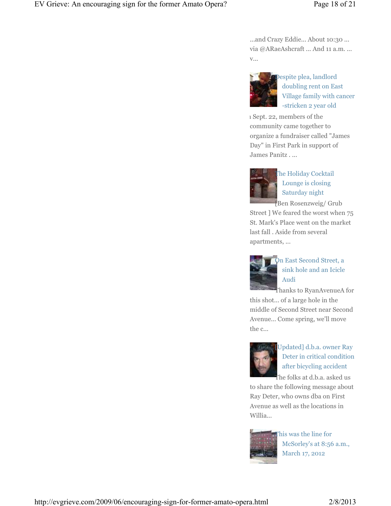...and Crazy Eddie... About 10:30 ... via @ARaeAshcraft ... And 11 a.m. ... v...



Despite plea, landlord doubling rent on East Village family with cancer -stricken 2 year old

1 Sept. 22, members of the community came together to organize a fundraiser called "James Day" in First Park in support of James Panitz . ...



The Holiday Cocktail Lounge is closing Saturday night

[Ben Rosenzweig/ Grub Street ] We feared the worst when 75 St. Mark's Place went on the market last fall . Aside from several apartments, ...



On East Second Street, a sink hole and an Icicle Audi

Thanks to RyanAvenueA for this shot... of a large hole in the middle of Second Street near Second Avenue... Come spring, we'll move the c...



## [Updated] d.b.a. owner Ray Deter in critical condition after bicycling accident

The folks at d.b.a. asked us to share the following message about Ray Deter, who owns dba on First Avenue as well as the locations in Willia...



his was the line for McSorley's at 8:56 a.m., March 17, 2012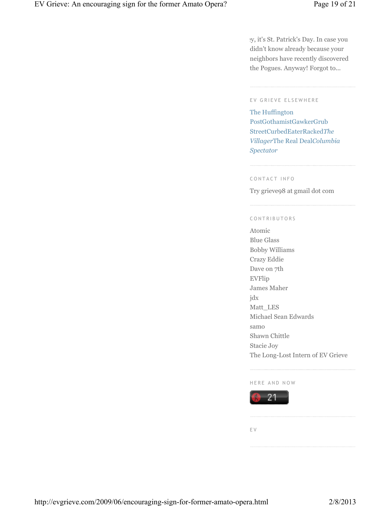Hey, it's St. Patrick's Day. In case you didn't know already because your neighbors have recently discovered the Pogues. Anyway! Forgot to...

#### EV GRIEVE ELSEWHERE

The Huffington PostGothamistGawkerGrub StreetCurbedEaterRacked*The Villager*The Real Deal*Columbia Spectator*

#### C O N T A C T I N F O

Try grieve98 at gmail dot com

#### CONTRIBUTORS

Atomic Blue Glass Bobby Williams Crazy Eddie Dave on 7th EVFlip James Maher jdx Matt\_LES Michael Sean Edwards samo Shawn Chittle Stacie Joy The Long-Lost Intern of EV Grieve

#### HERE AND NOW



E V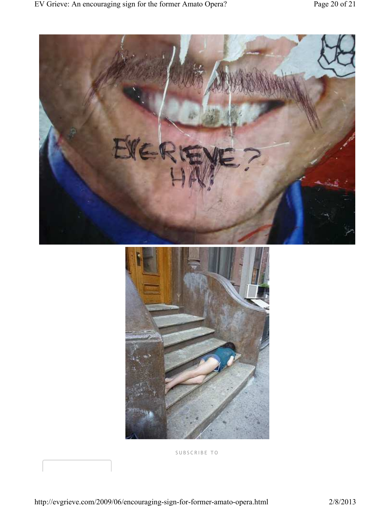



S U B S C R I B E T O

http://evgrieve.com/2009/06/encouraging-sign-for-former-amato-opera.html 2/8/2013